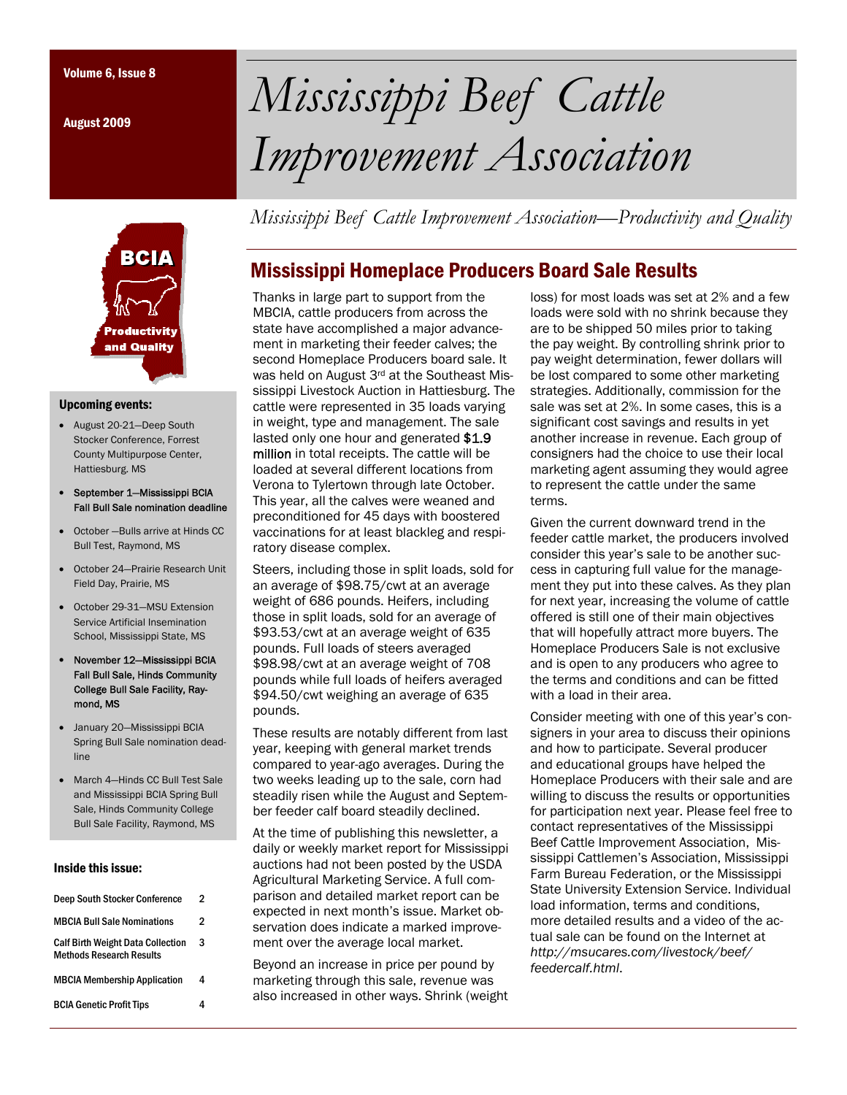August 2009



#### Upcoming events:

- August 20-21—Deep South Stocker Conference, Forrest County Multipurpose Center, Hattiesburg. MS
- September 1—Mississippi BCIA Fall Bull Sale nomination deadline
- October —Bulls arrive at Hinds CC Bull Test, Raymond, MS
- October 24—Prairie Research Unit Field Day, Prairie, MS
- October 29-31—MSU Extension Service Artificial Insemination School, Mississippi State, MS
- November 12—Mississippi BCIA Fall Bull Sale, Hinds Community College Bull Sale Facility, Raymond, MS
- January 20—Mississippi BCIA Spring Bull Sale nomination deadline
- March 4—Hinds CC Bull Test Sale and Mississippi BCIA Spring Bull Sale, Hinds Community College Bull Sale Facility, Raymond, MS

#### Inside this issue:

| Deep South Stocker Conference                                               | 2 |  |
|-----------------------------------------------------------------------------|---|--|
| <b>MBCIA Bull Sale Nominations</b>                                          | 2 |  |
| <b>Calf Birth Weight Data Collection</b><br><b>Methods Research Results</b> | 3 |  |
| <b>MBCIA Membership Application</b>                                         | 4 |  |
| <b>BCIA Genetic Profit Tips</b>                                             | Δ |  |

# Volume 6, Issue 8 *Mississippi Beef Cattle Improvement Association*

*Mississippi Beef Cattle Improvement Association—Productivity and Quality* 

## Mississippi Homeplace Producers Board Sale Results

Thanks in large part to support from the MBCIA, cattle producers from across the state have accomplished a major advancement in marketing their feeder calves; the second Homeplace Producers board sale. It was held on August 3rd at the Southeast Mississippi Livestock Auction in Hattiesburg. The cattle were represented in 35 loads varying in weight, type and management. The sale lasted only one hour and generated \$1.9 million in total receipts. The cattle will be loaded at several different locations from Verona to Tylertown through late October. This year, all the calves were weaned and preconditioned for 45 days with boostered vaccinations for at least blackleg and respiratory disease complex.

Steers, including those in split loads, sold for an average of \$98.75/cwt at an average weight of 686 pounds. Heifers, including those in split loads, sold for an average of \$93.53/cwt at an average weight of 635 pounds. Full loads of steers averaged \$98.98/cwt at an average weight of 708 pounds while full loads of heifers averaged \$94.50/cwt weighing an average of 635 pounds.

These results are notably different from last year, keeping with general market trends compared to year-ago averages. During the two weeks leading up to the sale, corn had steadily risen while the August and September feeder calf board steadily declined.

At the time of publishing this newsletter, a daily or weekly market report for Mississippi auctions had not been posted by the USDA Agricultural Marketing Service. A full comparison and detailed market report can be expected in next month's issue. Market observation does indicate a marked improvement over the average local market.

Beyond an increase in price per pound by marketing through this sale, revenue was also increased in other ways. Shrink (weight loss) for most loads was set at 2% and a few loads were sold with no shrink because they are to be shipped 50 miles prior to taking the pay weight. By controlling shrink prior to pay weight determination, fewer dollars will be lost compared to some other marketing strategies. Additionally, commission for the sale was set at 2%. In some cases, this is a significant cost savings and results in yet another increase in revenue. Each group of consigners had the choice to use their local marketing agent assuming they would agree to represent the cattle under the same terms.

Given the current downward trend in the feeder cattle market, the producers involved consider this year's sale to be another success in capturing full value for the management they put into these calves. As they plan for next year, increasing the volume of cattle offered is still one of their main objectives that will hopefully attract more buyers. The Homeplace Producers Sale is not exclusive and is open to any producers who agree to the terms and conditions and can be fitted with a load in their area.

Consider meeting with one of this year's consigners in your area to discuss their opinions and how to participate. Several producer and educational groups have helped the Homeplace Producers with their sale and are willing to discuss the results or opportunities for participation next year. Please feel free to contact representatives of the Mississippi Beef Cattle Improvement Association, Mississippi Cattlemen's Association, Mississippi Farm Bureau Federation, or the Mississippi State University Extension Service. Individual load information, terms and conditions, more detailed results and a video of the actual sale can be found on the Internet at *http://msucares.com/livestock/beef/ feedercalf.html*.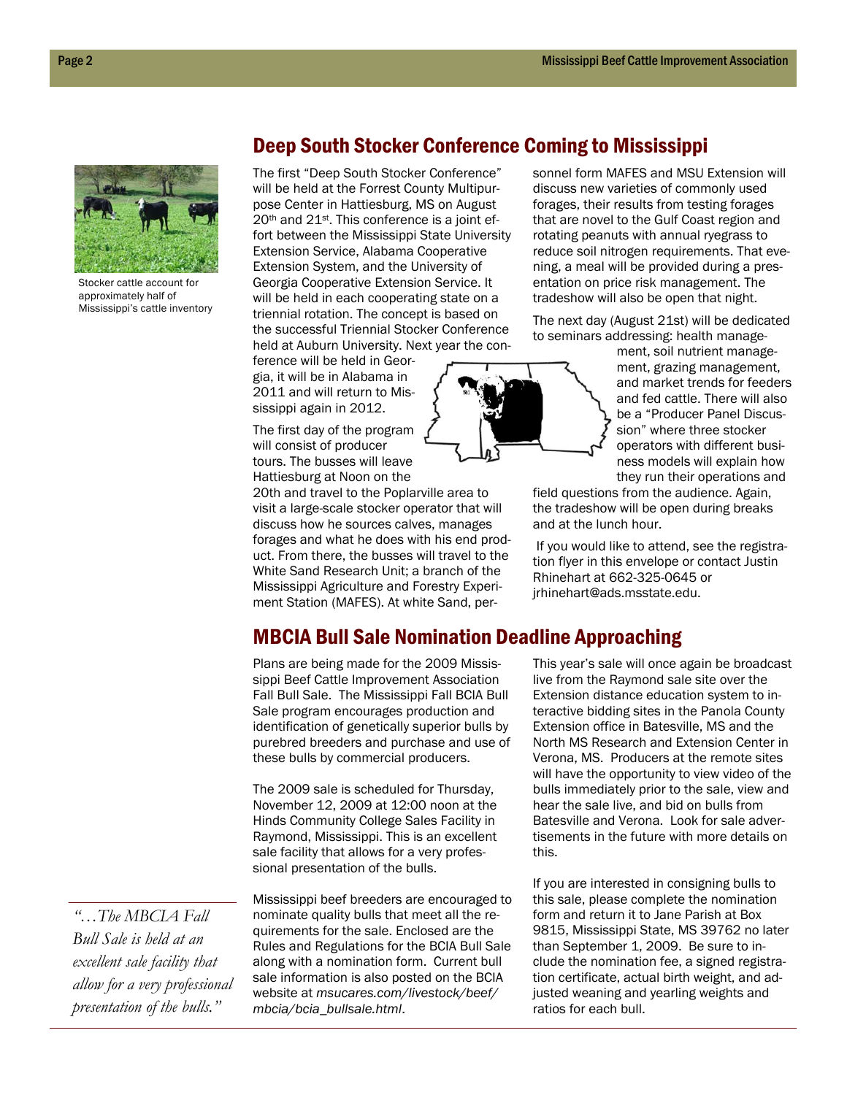

Stocker cattle account for approximately half of Mississippi's cattle inventory

## Deep South Stocker Conference Coming to Mississippi

The first "Deep South Stocker Conference" will be held at the Forrest County Multipurpose Center in Hattiesburg, MS on August 20th and 21st. This conference is a joint effort between the Mississippi State University Extension Service, Alabama Cooperative Extension System, and the University of Georgia Cooperative Extension Service. It will be held in each cooperating state on a triennial rotation. The concept is based on the successful Triennial Stocker Conference held at Auburn University. Next year the con-

ference will be held in Georgia, it will be in Alabama in 2011 and will return to Mississippi again in 2012.

The first day of the program will consist of producer tours. The busses will leave Hattiesburg at Noon on the

20th and travel to the Poplarville area to visit a large-scale stocker operator that will discuss how he sources calves, manages forages and what he does with his end product. From there, the busses will travel to the White Sand Research Unit; a branch of the Mississippi Agriculture and Forestry Experiment Station (MAFES). At white Sand, personnel form MAFES and MSU Extension will discuss new varieties of commonly used forages, their results from testing forages that are novel to the Gulf Coast region and rotating peanuts with annual ryegrass to reduce soil nitrogen requirements. That evening, a meal will be provided during a presentation on price risk management. The tradeshow will also be open that night.

The next day (August 21st) will be dedicated to seminars addressing: health manage-



ment, soil nutrient management, grazing management, and market trends for feeders and fed cattle. There will also be a "Producer Panel Discussion" where three stocker operators with different business models will explain how they run their operations and

field questions from the audience. Again, the tradeshow will be open during breaks and at the lunch hour.

 If you would like to attend, see the registration flyer in this envelope or contact Justin Rhinehart at 662-325-0645 or jrhinehart@ads.msstate.edu.

### MBCIA Bull Sale Nomination Deadline Approaching

Plans are being made for the 2009 Mississippi Beef Cattle Improvement Association Fall Bull Sale. The Mississippi Fall BCIA Bull Sale program encourages production and identification of genetically superior bulls by purebred breeders and purchase and use of these bulls by commercial producers.

The 2009 sale is scheduled for Thursday, November 12, 2009 at 12:00 noon at the Hinds Community College Sales Facility in Raymond, Mississippi. This is an excellent sale facility that allows for a very professional presentation of the bulls.

*"…The MBCIA Fall Bull Sale is held at an excellent sale facility that allow for a very professional presentation of the bulls."* 

Mississippi beef breeders are encouraged to nominate quality bulls that meet all the requirements for the sale. Enclosed are the Rules and Regulations for the BCIA Bull Sale along with a nomination form. Current bull sale information is also posted on the BCIA website at *msucares.com/livestock/beef/ mbcia/bcia\_bullsale.html*.

This year's sale will once again be broadcast live from the Raymond sale site over the Extension distance education system to interactive bidding sites in the Panola County Extension office in Batesville, MS and the North MS Research and Extension Center in Verona, MS. Producers at the remote sites will have the opportunity to view video of the bulls immediately prior to the sale, view and hear the sale live, and bid on bulls from Batesville and Verona. Look for sale advertisements in the future with more details on this.

If you are interested in consigning bulls to this sale, please complete the nomination form and return it to Jane Parish at Box 9815, Mississippi State, MS 39762 no later than September 1, 2009. Be sure to include the nomination fee, a signed registration certificate, actual birth weight, and adjusted weaning and yearling weights and ratios for each bull.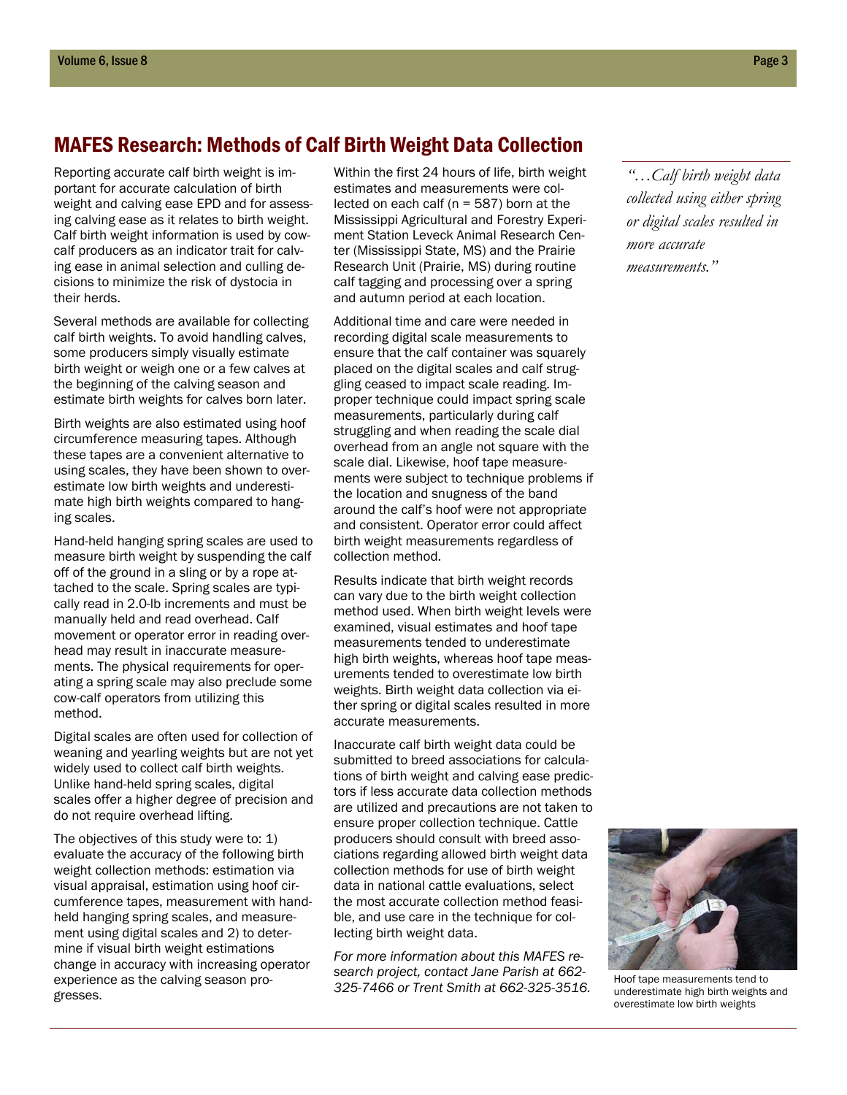### MAFES Research: Methods of Calf Birth Weight Data Collection

Reporting accurate calf birth weight is important for accurate calculation of birth weight and calving ease EPD and for assessing calving ease as it relates to birth weight. Calf birth weight information is used by cowcalf producers as an indicator trait for calving ease in animal selection and culling decisions to minimize the risk of dystocia in their herds.

Several methods are available for collecting calf birth weights. To avoid handling calves, some producers simply visually estimate birth weight or weigh one or a few calves at the beginning of the calving season and estimate birth weights for calves born later.

Birth weights are also estimated using hoof circumference measuring tapes. Although these tapes are a convenient alternative to using scales, they have been shown to overestimate low birth weights and underestimate high birth weights compared to hanging scales.

Hand-held hanging spring scales are used to measure birth weight by suspending the calf off of the ground in a sling or by a rope attached to the scale. Spring scales are typically read in 2.0-lb increments and must be manually held and read overhead. Calf movement or operator error in reading overhead may result in inaccurate measurements. The physical requirements for operating a spring scale may also preclude some cow-calf operators from utilizing this method.

Digital scales are often used for collection of weaning and yearling weights but are not yet widely used to collect calf birth weights. Unlike hand-held spring scales, digital scales offer a higher degree of precision and do not require overhead lifting.

The objectives of this study were to: 1) evaluate the accuracy of the following birth weight collection methods: estimation via visual appraisal, estimation using hoof circumference tapes, measurement with handheld hanging spring scales, and measurement using digital scales and 2) to determine if visual birth weight estimations change in accuracy with increasing operator experience as the calving season progresses.

Within the first 24 hours of life, birth weight estimates and measurements were collected on each calf ( $n = 587$ ) born at the Mississippi Agricultural and Forestry Experiment Station Leveck Animal Research Center (Mississippi State, MS) and the Prairie Research Unit (Prairie, MS) during routine calf tagging and processing over a spring and autumn period at each location.

Additional time and care were needed in recording digital scale measurements to ensure that the calf container was squarely placed on the digital scales and calf struggling ceased to impact scale reading. Improper technique could impact spring scale measurements, particularly during calf struggling and when reading the scale dial overhead from an angle not square with the scale dial. Likewise, hoof tape measurements were subject to technique problems if the location and snugness of the band around the calf's hoof were not appropriate and consistent. Operator error could affect birth weight measurements regardless of collection method.

Results indicate that birth weight records can vary due to the birth weight collection method used. When birth weight levels were examined, visual estimates and hoof tape measurements tended to underestimate high birth weights, whereas hoof tape measurements tended to overestimate low birth weights. Birth weight data collection via either spring or digital scales resulted in more accurate measurements.

Inaccurate calf birth weight data could be submitted to breed associations for calculations of birth weight and calving ease predictors if less accurate data collection methods are utilized and precautions are not taken to ensure proper collection technique. Cattle producers should consult with breed associations regarding allowed birth weight data collection methods for use of birth weight data in national cattle evaluations, select the most accurate collection method feasible, and use care in the technique for collecting birth weight data.

*For more information about this MAFES research project, contact Jane Parish at 662- 325-7466 or Trent Smith at 662-325-3516.* Hoof tape measurements tend to

*"…Calf birth weight data collected using either spring or digital scales resulted in more accurate measurements."* 



underestimate high birth weights and overestimate low birth weights